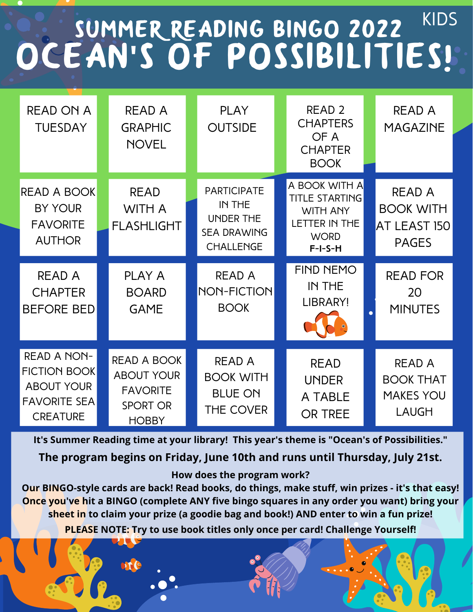## Summer Reading bingo 2022 Ocean**'**s of Possibilities! Kids

| <b>READ ON A</b><br><b>TUESDAY</b>                                                                       | <b>READ A</b><br><b>GRAPHIC</b><br><b>NOVEL</b>                                               | <b>PLAY</b><br><b>OUTSIDE</b>                                                              | READ <sub>2</sub><br><b>CHAPTERS</b><br>OF A<br><b>CHAPTER</b><br><b>BOOK</b>                                 | <b>READ A</b><br><b>MAGAZINE</b>                                      |
|----------------------------------------------------------------------------------------------------------|-----------------------------------------------------------------------------------------------|--------------------------------------------------------------------------------------------|---------------------------------------------------------------------------------------------------------------|-----------------------------------------------------------------------|
| READ A BOOK<br><b>BY YOUR</b><br><b>FAVORITE</b><br><b>AUTHOR</b>                                        | <b>READ</b><br><b>WITH A</b><br><b>FLASHLIGHT</b>                                             | <b>PARTICIPATE</b><br>IN THE<br><b>UNDER THE</b><br><b>SEA DRAWING</b><br><b>CHALLENGE</b> | A BOOK WITH A<br><b>TITLE STARTING</b><br><b>WITH ANY</b><br><b>LETTER IN THE</b><br><b>WORD</b><br>$F-I-S-H$ | <b>READ A</b><br><b>BOOK WITH</b><br>AT LEAST 150<br><b>PAGES</b>     |
| <b>READ A</b><br><b>CHAPTER</b><br><b>BEFORE BED</b>                                                     | <b>PLAY A</b><br><b>BOARD</b><br><b>GAME</b>                                                  | <b>READ A</b><br><b>NON-FICTION</b><br><b>BOOK</b>                                         | <b>FIND NEMO</b><br>IN THE<br>LIBRARY!                                                                        | <b>READ FOR</b><br>20<br><b>MINUTES</b><br>$\bullet$                  |
| <b>READ A NON-</b><br><b>FICTION BOOK</b><br><b>ABOUT YOUR</b><br><b>FAVORITE SEA</b><br><b>CREATURE</b> | <b>READ A BOOK</b><br><b>ABOUT YOUR</b><br><b>FAVORITE</b><br><b>SPORT OR</b><br><b>HOBBY</b> | <b>READ A</b><br><b>BOOK WITH</b><br><b>BLUE ON</b><br><b>THE COVER</b>                    | <b>READ</b><br><b>UNDER</b><br>A TABLE<br><b>OR TREE</b>                                                      | <b>READ A</b><br><b>BOOK THAT</b><br><b>MAKES YOU</b><br><b>LAUGH</b> |

**It's Summer Reading time at your library! This year's theme is "Ocean's of Possibilities."**

**The program begins on Friday, June 10th and runs until Thursday, July 21st.**

## **How does the program work?**

**Our BINGO-style cards are back! Read books, do things, make stuff, win prizes - it's that easy! Once you've hit a BINGO (complete ANY five bingo squares in any order you want) bring your sheet in to claim your prize (a goodie bag and book!) AND enter to win a fun prize!**

**PLEASE NOTE: Try to use book titles only once per card! Challenge Yourself!**